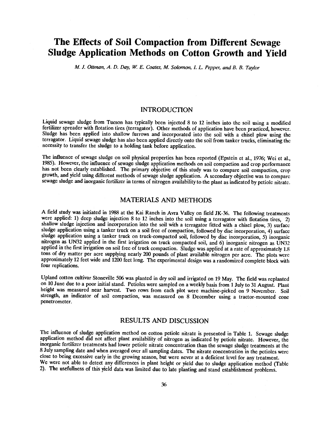# The Effects of Soil Compaction from Different Sewage Sludge Application Methods on Cotton Growth and Yield

M. J. Ottman, A. D. Day, W. E. Coates, M. Solomon, I. L. Pepper, and B. B. Taylor

### INTRODUCTION

Liquid sewage sludge from Tucson has typically been injected 8 to 12 inches into the soil using a modified fertilizer spreader with flotation tires (terragator). Other methods of application have been practiced, however. Sludge has been applied into shallow furrows and incorporated into the soil with a chisel plow using the terragator. Liquid sewage sludge has also been applied directly onto the soil from tanker trucks, eliminating the necessity to transfer the sludge to a holding tank before application.

The influence of sewage sludge on soil physical properties has been reported (Epstein et al., 1976; Wei et al., 1985). However, the influence of sewage sludge application methods on soil compaction and crop performance has not been clearly established. The primary objective of this study was to compare soil compaction, crop growth, and yield using different methods of sewage sludge application. A secondary objective was to compare sewage sludge and inorganic fertilizer in terms of nitrogen availability to the plant as indicated by petiole nitrate.

#### MATERIALS AND METHODS

A field study was initiated in 1988 at the Kai Ranch in Avra Valley on field JK -36. The following treatments were applied: 1) deep sludge injection 8 to 12 inches into the soil using a terragator with flotation tires, 2) shallow sludge injection and incorporation into the soil with a terragator fitted with a chisel plow, 3) surface sludge application using a tanker truck on a soil free of compaction, followed by disc incorporation, 4) surface sludge application using a tanker truck on truck-compacted soil, followed by disc incorporation, 5) inorganic nitrogen as UN32 applied in the first irrigation on truck compacted soil, and 6) inorganic nitrogen as UN32 applied in the first irrigation on soil free of truck compaction. Sludge was applied at a rate of approximately 1.8 tons of dry matter per acre supplying nearly 200 pounds of plant available nitrogen per acre. The plots were approximately 12 feet wide and 1200 feet long. The experimental design was a randomized complete block with four replications.

Upland cotton cultivar Stoneville 506 was planted in dry soil and irrigated on 19 May. The field was replanted on 10 June due to a poor initial stand. Petioles were sampled on a weekly basis from 1 July to 31 August. Plant height was measured near harvest. Two rows from each plot were machine -picked on 9 November. Soil strength, an indicator of soil compaction, was measured on 8 December using a tractor-mounted cone penetrometer.

## RESULTS AND DISCUSSION

The influence of sludge application method on cotton petiole nitrate is presented in Table 1. Sewage sludge application method did not affect plant availability of nitrogen as indicated by petiole nitrate. However, the inorganic fertilizer treatments had lower petiole nitrate concentration than the sewage sludge treatments at the 8 July sampling date and when averaged over all sampling dates. The nitrate concentration in the petioles wer close to being excessive early in the growing season, but were never at a deficient level for any treatment. We were not able to detect any differences in plant height or yield due to sludge application method (Table 2). The usefulness of this yield data was limited due to late planting and stand establishment problems.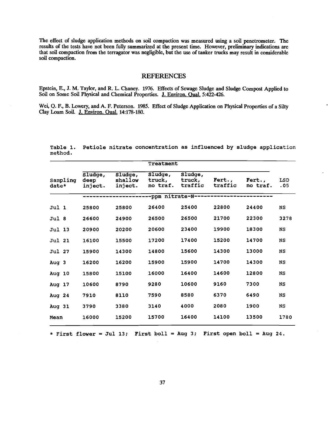The effect of sludge application methods on soil compaction was measured using a soil penetrometer. The results of the tests have not been fully summarized at the present time. However, preliminary indications are that soil compaction from the terragator was negligible, but the use of tanker trucks may result in considerable soil compaction.

#### REFERENCES

Epstein, E., J. M. Taylor, and R. L. Chaney. 1976. Effects of Sewage Sludge and Sludge Compost Applied to Soil on Some Soil Physical and Chemical Properties. J. Environ. Qual. 5:422-426.

Wei, Q. F., B. Lowery, and A. F. Peterson. 1985. Effect of Sludge Application on Physical Properties of a Silty Clay Loam Soil. J. Environ. Qual. 14:178-180.

|                   |  |                            |                               | Treatment                     |                              |                   |                    |            |
|-------------------|--|----------------------------|-------------------------------|-------------------------------|------------------------------|-------------------|--------------------|------------|
| Sampling<br>date* |  | Sludge,<br>deep<br>inject. | Sludge,<br>shallow<br>inject. | Sludge,<br>truck,<br>no traf. | Sludge,<br>truck,<br>traffic | Fert.,<br>traffic | Fert.,<br>no traf. | LSD<br>.05 |
|                   |  |                            |                               |                               | -ppm nitrate-N----           |                   |                    |            |
| Jul 1             |  | 25800                      | 25800                         | 26400                         | 25400                        | 22800             | 24400              | <b>NS</b>  |
| Jul 8             |  | 26600                      | 24900                         | 26500                         | 26500                        | 21700             | 22300              | 3278       |
| Jul 13            |  | 20900                      | 20200                         | 20600                         | 23400                        | 19900             | 18300              | <b>NS</b>  |
| <b>Jul 21</b>     |  | 16100                      | 15500                         | 17200                         | 17400                        | 15200             | 14700              | <b>NS</b>  |
| <b>Jul 27</b>     |  | 15900                      | 14300                         | 14800                         | 15600                        | 14300             | 13000              | <b>NS</b>  |
| Aug 3             |  | 16200                      | 16200                         | 15900                         | 15900                        | 14700             | 14300              | <b>NS</b>  |
| Aug 10            |  | 15800                      | 15100                         | 16000                         | 16400                        | 14600             | 12800              | <b>NS</b>  |
| Aug 17            |  | 10600                      | 8790                          | 9280                          | 10600                        | 9160              | 7300               | NS         |
| Aug $24$          |  | 7910                       | 8110                          | 7590                          | 8580                         | 6370              | 6490               | <b>NS</b>  |
| Aug 31            |  | 3790                       | 3380                          | 3140                          | 4000                         | 2080              | 1900               | NS         |
| Mean              |  | 16000                      | 15200                         | 15700                         | 16400                        | 14100             | 13500              | 1780       |

Table 1. Petiole nitrate concentration as influenced by sludge application method.

\* First flower = Jul 13; First boll = Aug 3; First open boll = Aug 24.